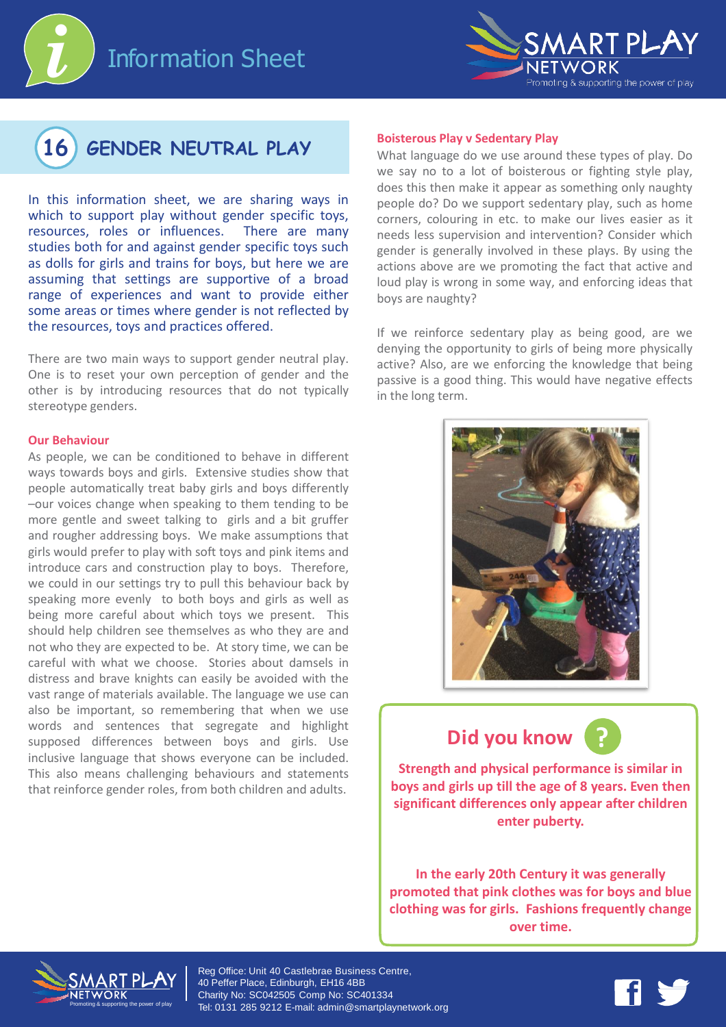





In this information sheet, we are sharing ways in which to support play without gender specific toys, resources, roles or influences. There are many studies both for and against gender specific toys such as dolls for girls and trains for boys, but here we are assuming that settings are supportive of a broad range of experiences and want to provide either some areas or times where gender is not reflected by the resources, toys and practices offered.

There are two main ways to support gender neutral play. One is to reset your own perception of gender and the other is by introducing resources that do not typically stereotype genders.

#### **Our Behaviour**

As people, we can be conditioned to behave in different ways towards boys and girls. Extensive studies show that people automatically treat baby girls and boys differently –our voices change when speaking to them tending to be more gentle and sweet talking to girls and a bit gruffer and rougher addressing boys. We make assumptions that girls would prefer to play with soft toys and pink items and introduce cars and construction play to boys. Therefore, we could in our settings try to pull this behaviour back by speaking more evenly to both boys and girls as well as being more careful about which toys we present. This should help children see themselves as who they are and not who they are expected to be. At story time, we can be careful with what we choose. Stories about damsels in distress and brave knights can easily be avoided with the vast range of materials available. The language we use can also be important, so remembering that when we use words and sentences that segregate and highlight supposed differences between boys and girls. Use inclusive language that shows everyone can be included. This also means challenging behaviours and statements that reinforce gender roles, from both children and adults.

#### **Boisterous Play v Sedentary Play**

What language do we use around these types of play. Do we say no to a lot of boisterous or fighting style play, does this then make it appear as something only naughty people do? Do we support sedentary play, such as home corners, colouring in etc. to make our lives easier as it needs less supervision and intervention? Consider which gender is generally involved in these plays. By using the actions above are we promoting the fact that active and loud play is wrong in some way, and enforcing ideas that boys are naughty?

If we reinforce sedentary play as being good, are we denying the opportunity to girls of being more physically active? Also, are we enforcing the knowledge that being passive is a good thing. This would have negative effects in the long term.



## **Did you know**



**Strength and physical performance is similar in boys and girls up till the age of 8 years. Even then significant differences only appear after children enter puberty.**

**In the early 20th Century it was generally promoted that pink clothes was for boys and blue clothing was for girls. Fashions frequently change over time.**



Reg Office: Unit 40 Castlebrae Business Centre, 40 Peffer Place, Edinburgh, EH16 4BB Charity No: SC042505 Comp No: SC401334 Tel: 0131 285 9212 E-mail: admin@smartplaynetwork.org